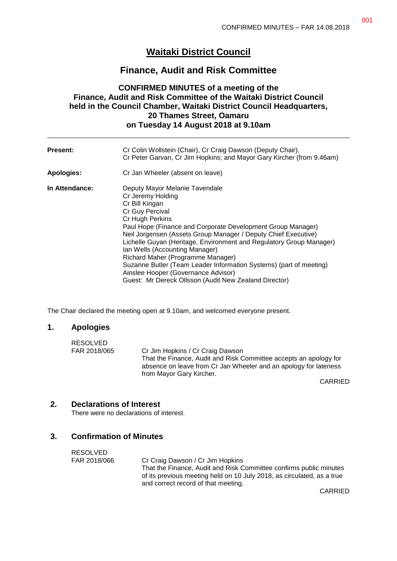# **Waitaki District Council**

# **Finance, Audit and Risk Committee**

# **CONFIRMED MINUTES of a meeting of the Finance, Audit and Risk Committee of the Waitaki District Council held in the Council Chamber, Waitaki District Council Headquarters, 20 Thames Street, Oamaru on Tuesday 14 August 2018 at 9.10am**

| <b>Present:</b> | Cr Colin Wollstein (Chair), Cr Craig Dawson (Deputy Chair),<br>Cr Peter Garvan, Cr Jim Hopkins; and Mayor Gary Kircher (from 9.46am)                                                                                                                                                                                                                                                                                                                                                                                                                             |
|-----------------|------------------------------------------------------------------------------------------------------------------------------------------------------------------------------------------------------------------------------------------------------------------------------------------------------------------------------------------------------------------------------------------------------------------------------------------------------------------------------------------------------------------------------------------------------------------|
| Apologies:      | Cr Jan Wheeler (absent on leave)                                                                                                                                                                                                                                                                                                                                                                                                                                                                                                                                 |
| In Attendance:  | Deputy Mayor Melanie Tavendale<br>Cr Jeremy Holding<br>Cr Bill Kingan<br>Cr Guy Percival<br>Cr Hugh Perkins<br>Paul Hope (Finance and Corporate Development Group Manager)<br>Neil Jorgensen (Assets Group Manager / Deputy Chief Executive)<br>Lichelle Guyan (Heritage, Environment and Regulatory Group Manager)<br>Ian Wells (Accounting Manager)<br>Richard Maher (Programme Manager)<br>Suzanne Butler (Team Leader Information Systems) (part of meeting)<br>Ainslee Hooper (Governance Advisor)<br>Guest: Mr Dereck Ollsson (Audit New Zealand Director) |

The Chair declared the meeting open at 9.10am, and welcomed everyone present.

#### **1. Apologies**

| RESOLVED     |                                                                                                                                                                   |
|--------------|-------------------------------------------------------------------------------------------------------------------------------------------------------------------|
| FAR 2018/065 | Cr Jim Hopkins / Cr Craig Dawson                                                                                                                                  |
|              | That the Finance, Audit and Risk Committee accepts an apology for<br>absence on leave from Cr Jan Wheeler and an apology for lateness<br>from Mayor Gary Kircher. |
|              |                                                                                                                                                                   |

CARRIED

#### **2. Declarations of Interest**

There were no declarations of interest.

#### **3. Confirmation of Minutes**

RESOLVED FAR 2018/066 Cr Craig Dawson / Cr Jim Hopkins That the Finance, Audit and Risk Committee confirms public minutes of its previous meeting held on 10 July 2018, as circulated, as a true and correct record of that meeting.

CARRIED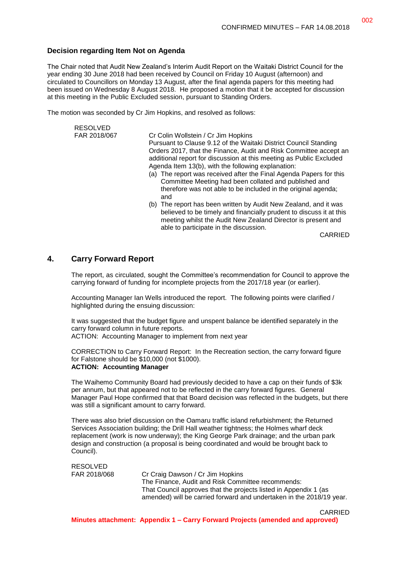#### **Decision regarding Item Not on Agenda**

The Chair noted that Audit New Zealand's Interim Audit Report on the Waitaki District Council for the year ending 30 June 2018 had been received by Council on Friday 10 August (afternoon) and circulated to Councillors on Monday 13 August, after the final agenda papers for this meeting had been issued on Wednesday 8 August 2018. He proposed a motion that it be accepted for discussion at this meeting in the Public Excluded session, pursuant to Standing Orders.

The motion was seconded by Cr Jim Hopkins, and resolved as follows:

| <b>RESOLVED</b> |                                                                                                                                                                                                                                                                                                                                                                                                                                                                                                                                                                                                                                                                                                                                                                                  |
|-----------------|----------------------------------------------------------------------------------------------------------------------------------------------------------------------------------------------------------------------------------------------------------------------------------------------------------------------------------------------------------------------------------------------------------------------------------------------------------------------------------------------------------------------------------------------------------------------------------------------------------------------------------------------------------------------------------------------------------------------------------------------------------------------------------|
| FAR 2018/067    | Cr Colin Wollstein / Cr Jim Hopkins<br>Pursuant to Clause 9.12 of the Waitaki District Council Standing<br>Orders 2017, that the Finance, Audit and Risk Committee accept an<br>additional report for discussion at this meeting as Public Excluded<br>Agenda Item 13(b), with the following explanation:<br>(a) The report was received after the Final Agenda Papers for this<br>Committee Meeting had been collated and published and<br>therefore was not able to be included in the original agenda;<br>and<br>(b) The report has been written by Audit New Zealand, and it was<br>believed to be timely and financially prudent to discuss it at this<br>meeting whilst the Audit New Zealand Director is present and<br>able to participate in the discussion.<br>CARRIED |
|                 |                                                                                                                                                                                                                                                                                                                                                                                                                                                                                                                                                                                                                                                                                                                                                                                  |

#### **4. Carry Forward Report**

The report, as circulated, sought the Committee's recommendation for Council to approve the carrying forward of funding for incomplete projects from the 2017/18 year (or earlier).

Accounting Manager Ian Wells introduced the report. The following points were clarified / highlighted during the ensuing discussion:

It was suggested that the budget figure and unspent balance be identified separately in the carry forward column in future reports. ACTION: Accounting Manager to implement from next year

CORRECTION to Carry Forward Report: In the Recreation section, the carry forward figure for Falstone should be \$10,000 (not \$1000). **ACTION: Accounting Manager**

The Waihemo Community Board had previously decided to have a cap on their funds of \$3k per annum, but that appeared not to be reflected in the carry forward figures. General Manager Paul Hope confirmed that that Board decision was reflected in the budgets, but there was still a significant amount to carry forward.

There was also brief discussion on the Oamaru traffic island refurbishment; the Returned Services Association building; the Drill Hall weather tightness; the Holmes wharf deck replacement (work is now underway); the King George Park drainage; and the urban park design and construction (a proposal is being coordinated and would be brought back to Council).

RESOLVED FAR 2018/068 Cr Craig Dawson / Cr Jim Hopkins The Finance, Audit and Risk Committee recommends: That Council approves that the projects listed in Appendix 1 (as amended) will be carried forward and undertaken in the 2018/19 year.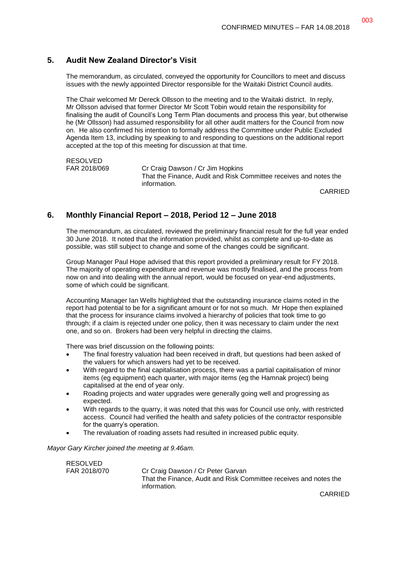# **5. Audit New Zealand Director's Visit**

The memorandum, as circulated, conveyed the opportunity for Councillors to meet and discuss issues with the newly appointed Director responsible for the Waitaki District Council audits.

The Chair welcomed Mr Dereck Ollsson to the meeting and to the Waitaki district. In reply, Mr Ollsson advised that former Director Mr Scott Tobin would retain the responsibility for finalising the audit of Council's Long Term Plan documents and process this year, but otherwise he (Mr Ollsson) had assumed responsibility for all other audit matters for the Council from now on. He also confirmed his intention to formally address the Committee under Public Excluded Agenda Item 13, including by speaking to and responding to questions on the additional report accepted at the top of this meeting for discussion at that time.

RESOLVED

FAR 2018/069 Cr Craig Dawson / Cr Jim Hopkins That the Finance, Audit and Risk Committee receives and notes the information.

CARRIED

# **6. Monthly Financial Report – 2018, Period 12 – June 2018**

The memorandum, as circulated, reviewed the preliminary financial result for the full year ended 30 June 2018. It noted that the information provided, whilst as complete and up-to-date as possible, was still subject to change and some of the changes could be significant.

Group Manager Paul Hope advised that this report provided a preliminary result for FY 2018. The majority of operating expenditure and revenue was mostly finalised, and the process from now on and into dealing with the annual report, would be focused on year-end adjustments, some of which could be significant.

Accounting Manager Ian Wells highlighted that the outstanding insurance claims noted in the report had potential to be for a significant amount or for not so much. Mr Hope then explained that the process for insurance claims involved a hierarchy of policies that took time to go through; if a claim is rejected under one policy, then it was necessary to claim under the next one, and so on. Brokers had been very helpful in directing the claims.

There was brief discussion on the following points:

- The final forestry valuation had been received in draft, but questions had been asked of the valuers for which answers had yet to be received.
- With regard to the final capitalisation process, there was a partial capitalisation of minor items (eg equipment) each quarter, with major items (eg the Hamnak project) being capitalised at the end of year only.
- Roading projects and water upgrades were generally going well and progressing as expected.
- With regards to the quarry, it was noted that this was for Council use only, with restricted access. Council had verified the health and safety policies of the contractor responsible for the quarry's operation.
- The revaluation of roading assets had resulted in increased public equity.

*Mayor Gary Kircher joined the meeting at 9.46am.*

| <b>RESOLVED</b> |                                                                   |
|-----------------|-------------------------------------------------------------------|
| FAR 2018/070    | Cr Craig Dawson / Cr Peter Garvan                                 |
|                 | That the Finance. Audit and Risk Committee receives and notes the |
|                 | information.                                                      |

CARRIED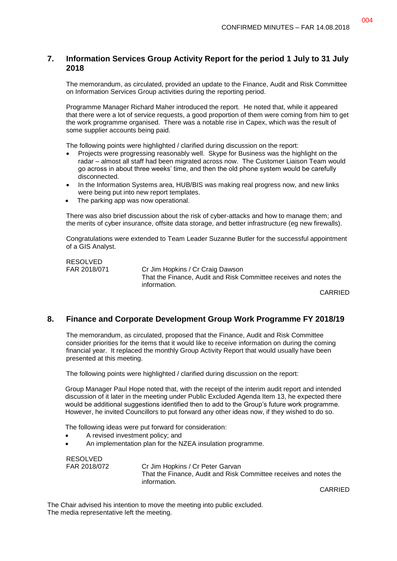# **7. Information Services Group Activity Report for the period 1 July to 31 July 2018**

The memorandum, as circulated, provided an update to the Finance, Audit and Risk Committee on Information Services Group activities during the reporting period.

Programme Manager Richard Maher introduced the report. He noted that, while it appeared that there were a lot of service requests, a good proportion of them were coming from him to get the work programme organised. There was a notable rise in Capex, which was the result of some supplier accounts being paid.

The following points were highlighted / clarified during discussion on the report:

- Projects were progressing reasonably well. Skype for Business was the highlight on the radar – almost all staff had been migrated across now. The Customer Liaison Team would go across in about three weeks' time, and then the old phone system would be carefully disconnected.
- In the Information Systems area, HUB/BIS was making real progress now, and new links were being put into new report templates.
- The parking app was now operational.

There was also brief discussion about the risk of cyber-attacks and how to manage them; and the merits of cyber insurance, offsite data storage, and better infrastructure (eg new firewalls).

Congratulations were extended to Team Leader Suzanne Butler for the successful appointment of a GIS Analyst.

RESOLVED

FAR 2018/071 Cr Jim Hopkins / Cr Craig Dawson That the Finance, Audit and Risk Committee receives and notes the information.

CARRIED

#### **8. Finance and Corporate Development Group Work Programme FY 2018/19**

The memorandum, as circulated, proposed that the Finance, Audit and Risk Committee consider priorities for the items that it would like to receive information on during the coming financial year. It replaced the monthly Group Activity Report that would usually have been presented at this meeting.

The following points were highlighted / clarified during discussion on the report:

Group Manager Paul Hope noted that, with the receipt of the interim audit report and intended discussion of it later in the meeting under Public Excluded Agenda Item 13, he expected there would be additional suggestions identified then to add to the Group's future work programme. However, he invited Councillors to put forward any other ideas now, if they wished to do so.

The following ideas were put forward for consideration:

- A revised investment policy; and
- An implementation plan for the NZEA insulation programme.

RESOLVED

FAR 2018/072 Cr Jim Hopkins / Cr Peter Garvan That the Finance, Audit and Risk Committee receives and notes the information.

CARRIED

The Chair advised his intention to move the meeting into public excluded. The media representative left the meeting.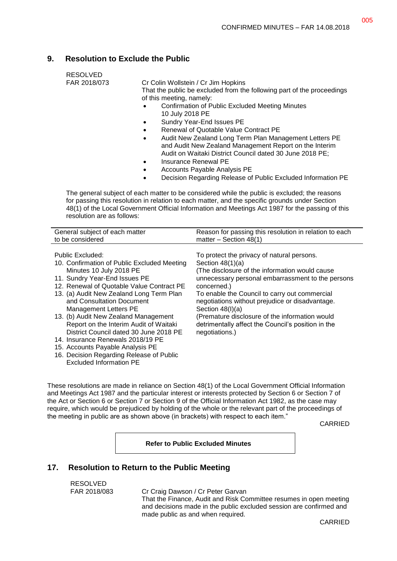# **9. Resolution to Exclude the Public**

| RESOLVED            |
|---------------------|
| <b>FAR 2018/073</b> |

018/073 Cr Colin Wollstein / Cr Jim Hopkins

That the public be excluded from the following part of the proceedings of this meeting, namely:

- Confirmation of Public Excluded Meeting Minutes 10 July 2018 PE
- Sundry Year-End Issues PE
- Renewal of Quotable Value Contract PE
- Audit New Zealand Long Term Plan Management Letters PE and Audit New Zealand Management Report on the Interim Audit on Waitaki District Council dated 30 June 2018 PE;
- Insurance Renewal PE
- Accounts Payable Analysis PE
- Decision Regarding Release of Public Excluded Information PE

The general subject of each matter to be considered while the public is excluded; the reasons for passing this resolution in relation to each matter, and the specific grounds under Section 48(1) of the Local Government Official Information and Meetings Act 1987 for the passing of this resolution are as follows:

| General subject of each matter              | Reason for passing this resolution in relation to each |
|---------------------------------------------|--------------------------------------------------------|
| to be considered                            | matter $-$ Section 48(1)                               |
| Public Excluded:                            | To protect the privacy of natural persons.             |
| 10. Confirmation of Public Excluded Meeting | Section $48(1)(a)$                                     |
| Minutes 10 July 2018 PE                     | (The disclosure of the information would cause         |
| 11. Sundry Year-End Issues PE               | unnecessary personal embarrassment to the persons      |
| 12. Renewal of Quotable Value Contract PE   | concerned.)                                            |
| 13. (a) Audit New Zealand Long Term Plan    | To enable the Council to carry out commercial          |
| and Consultation Document                   | negotiations without prejudice or disadvantage.        |
| <b>Management Letters PE</b>                | Section $48(l)(a)$                                     |
| 13. (b) Audit New Zealand Management        | (Premature disclosure of the information would         |
| Report on the Interim Audit of Waitaki      | detrimentally affect the Council's position in the     |
|                                             |                                                        |

#### District Council dated 30 June 2018 PE 14. Insurance Renewals 2018/19 PE negotiations.)

- 15. Accounts Payable Analysis PE
- 16. Decision Regarding Release of Public

Excluded Information PE

These resolutions are made in reliance on Section 48(1) of the Local Government Official Information and Meetings Act 1987 and the particular interest or interests protected by Section 6 or Section 7 of the Act or Section 6 or Section 7 or Section 9 of the Official Information Act 1982, as the case may require, which would be prejudiced by holding of the whole or the relevant part of the proceedings of the meeting in public are as shown above (in brackets) with respect to each item."

CARRIED

**Refer to Public Excluded Minutes**

# **17. Resolution to Return to the Public Meeting**

RESOLVED

FAR 2018/083 Cr Craig Dawson / Cr Peter Garvan

That the Finance, Audit and Risk Committee resumes in open meeting and decisions made in the public excluded session are confirmed and made public as and when required.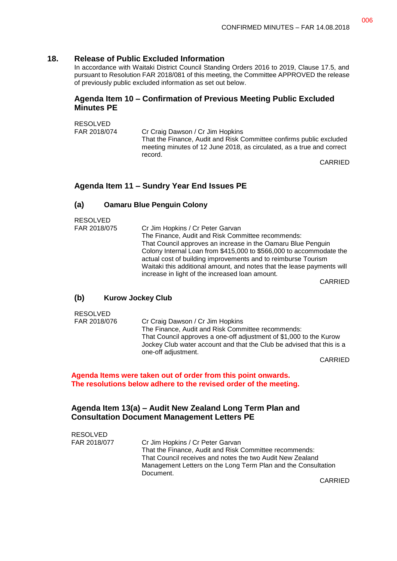#### **18. Release of Public Excluded Information**

In accordance with Waitaki District Council Standing Orders 2016 to 2019, Clause 17.5, and pursuant to Resolution FAR 2018/081 of this meeting, the Committee APPROVED the release of previously public excluded information as set out below.

#### **Agenda Item 10 – Confirmation of Previous Meeting Public Excluded Minutes PE**

RESOLVED

FAR 2018/074 Cr Craig Dawson / Cr Jim Hopkins That the Finance, Audit and Risk Committee confirms public excluded meeting minutes of 12 June 2018, as circulated, as a true and correct record.

CARRIED

# **Agenda Item 11 – Sundry Year End Issues PE**

#### **(a) Oamaru Blue Penguin Colony**

RESOLVED

| FAR 2018/075 | Cr Jim Hopkins / Cr Peter Garvan                                       |
|--------------|------------------------------------------------------------------------|
|              | The Finance, Audit and Risk Committee recommends:                      |
|              | That Council approves an increase in the Oamaru Blue Penguin           |
|              | Colony Internal Loan from \$415,000 to \$566,000 to accommodate the    |
|              | actual cost of building improvements and to reimburse Tourism          |
|              | Waitaki this additional amount, and notes that the lease payments will |
|              | increase in light of the increased loan amount.                        |
|              | $\bigcap$                                                              |

CARRIED

#### **(b) Kurow Jockey Club**

RESOLVED

FAR 2018/076 Cr Craig Dawson / Cr Jim Hopkins The Finance, Audit and Risk Committee recommends: That Council approves a one-off adjustment of \$1,000 to the Kurow Jockey Club water account and that the Club be advised that this is a one-off adjustment.

CARRIED

#### **Agenda Items were taken out of order from this point onwards. The resolutions below adhere to the revised order of the meeting.**

#### **Agenda Item 13(a) – Audit New Zealand Long Term Plan and Consultation Document Management Letters PE**

| <b>RESOLVED</b> |                                                               |
|-----------------|---------------------------------------------------------------|
| FAR 2018/077    | Cr Jim Hopkins / Cr Peter Garvan                              |
|                 | That the Finance, Audit and Risk Committee recommends:        |
|                 | That Council receives and notes the two Audit New Zealand     |
|                 | Management Letters on the Long Term Plan and the Consultation |
|                 | Document.                                                     |
|                 |                                                               |

CARRIED